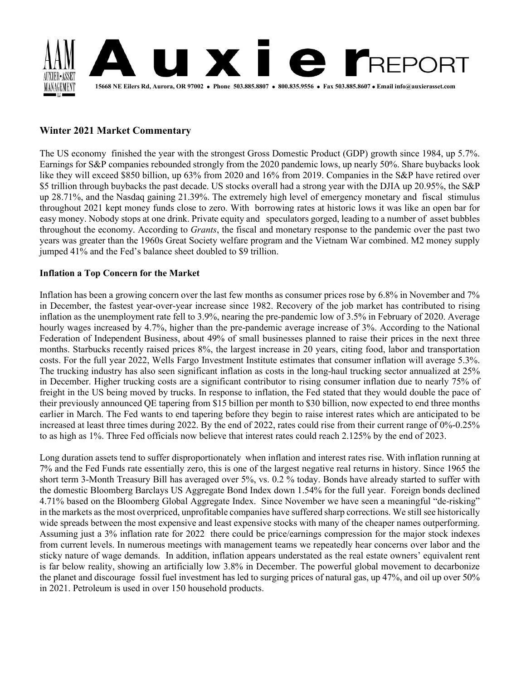

# **Winter 2021 Market Commentary**

The US economy finished the year with the strongest Gross Domestic Product (GDP) growth since 1984, up 5.7%. Earnings for S&P companies rebounded strongly from the 2020 pandemic lows, up nearly 50%. Share buybacks look like they will exceed \$850 billion, up 63% from 2020 and 16% from 2019. Companies in the S&P have retired over \$5 trillion through buybacks the past decade. US stocks overall had a strong year with the DJIA up 20.95%, the S&P up 28.71%, and the Nasdaq gaining 21.39%. The extremely high level of emergency monetary and fiscal stimulus throughout 2021 kept money funds close to zero. With borrowing rates at historic lows it was like an open bar for easy money. Nobody stops at one drink. Private equity and speculators gorged, leading to a number of asset bubbles throughout the economy. According to *Grants*, the fiscal and monetary response to the pandemic over the past two years was greater than the 1960s Great Society welfare program and the Vietnam War combined. M2 money supply jumped 41% and the Fed's balance sheet doubled to \$9 trillion.

## **Inflation a Top Concern for the Market**

Inflation has been a growing concern over the last few months as consumer prices rose by 6.8% in November and 7% in December, the fastest year-over-year increase since 1982. Recovery of the job market has contributed to rising inflation as the unemployment rate fell to 3.9%, nearing the pre-pandemic low of 3.5% in February of 2020. Average hourly wages increased by 4.7%, higher than the pre-pandemic average increase of 3%. According to the National Federation of Independent Business, about 49% of small businesses planned to raise their prices in the next three months. Starbucks recently raised prices 8%, the largest increase in 20 years, citing food, labor and transportation costs. For the full year 2022, Wells Fargo Investment Institute estimates that consumer inflation will average 5.3%. The trucking industry has also seen significant inflation as costs in the long-haul trucking sector annualized at 25% in December. Higher trucking costs are a significant contributor to rising consumer inflation due to nearly 75% of freight in the US being moved by trucks. In response to inflation, the Fed stated that they would double the pace of their previously announced QE tapering from \$15 billion per month to \$30 billion, now expected to end three months earlier in March. The Fed wants to end tapering before they begin to raise interest rates which are anticipated to be increased at least three times during 2022. By the end of 2022, rates could rise from their current range of 0%-0.25% to as high as 1%. Three Fed officials now believe that interest rates could reach 2.125% by the end of 2023.

Long duration assets tend to suffer disproportionately when inflation and interest rates rise. With inflation running at 7% and the Fed Funds rate essentially zero, this is one of the largest negative real returns in history. Since 1965 the short term 3-Month Treasury Bill has averaged over 5%, vs. 0.2 % today. Bonds have already started to suffer with the domestic Bloomberg Barclays US Aggregate Bond Index down 1.54% for the full year. Foreign bonds declined 4.71% based on the Bloomberg Global Aggregate Index. Since November we have seen a meaningful "de-risking" in the markets as the most overpriced, unprofitable companies have suffered sharp corrections. We still see historically wide spreads between the most expensive and least expensive stocks with many of the cheaper names outperforming. Assuming just a 3% inflation rate for 2022 there could be price/earnings compression for the major stock indexes from current levels. In numerous meetings with management teams we repeatedly hear concerns over labor and the sticky nature of wage demands. In addition, inflation appears understated as the real estate owners' equivalent rent is far below reality, showing an artificially low 3.8% in December. The powerful global movement to decarbonize the planet and discourage fossil fuel investment has led to surging prices of natural gas, up 47%, and oil up over 50% in 2021. Petroleum is used in over 150 household products.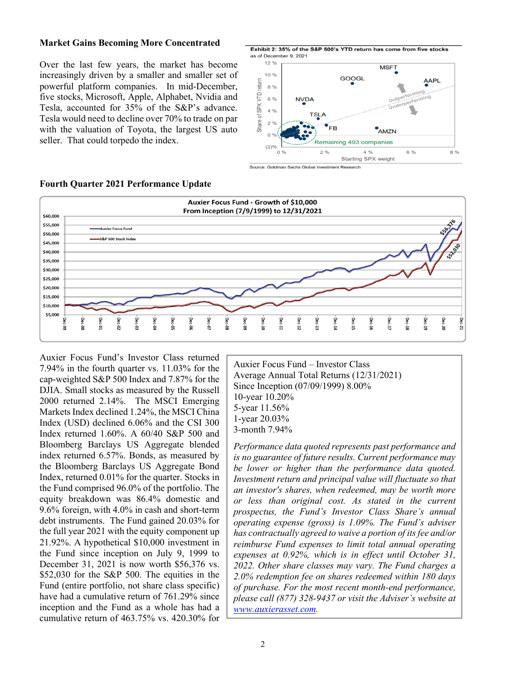#### **Market Gains Becoming More Concentrated**

Over the last few years, the market has become increasingly driven by a smaller and smaller set of powerful platform companies. In mid-December, five stocks, Microsoft, Apple, Alphabet, Nvidia and Tesla, accounted for 35% of the S&P's advance. Tesla would need to decline over 70% to trade on par with the valuation of Toyota, the largest US auto seller. That could torpedo the index.





**Fourth Quarter 2021 Performance Update**

Auxier Focus Fund's Investor Class returned 7.94% in the fourth quarter vs. 11.03% for the cap-weighted S&P 500 Index and 7.87% for the DJIA. Small stocks as measured by the Russell 2000 returned 2.14%. The MSCI Emerging Markets Index declined 1.24%, the MSCI China Index (USD) declined 6.06% and the CSI 300 Index returned 1.60%. A 60/40 S&P 500 and Bloomberg Barclays US Aggregate blended index returned 6.57%. Bonds, as measured by the Bloomberg Barclays US Aggregate Bond Index, returned 0.01% for the quarter. Stocks in the Fund comprised 96.0% of the portfolio. The equity breakdown was 86.4% domestic and 9.6% foreign, with 4.0% in cash and short-term debt instruments. The Fund gained 20.03% for the full year 2021 with the equity component up 21.92%. A hypothetical \$10,000 investment in the Fund since inception on July 9, 1999 to December 31, 2021 is now worth \$56,376 vs. \$52,030 for the S&P 500. The equities in the Fund (entire portfolio, not share class specific) have had a cumulative return of 761.29% since inception and the Fund as a whole has had a cumulative return of 463.75% vs. 420.30% for

Auxier Focus Fund – Investor Class Average Annual Total Returns (12/31/2021) Since Inception (07/09/1999) 8.00% 10-year 10.20% 5-year 11.56% 1-year 20.03% 3-month 7.94%

*Performance data quoted represents past performance and is no guarantee of future results. Current performance may be lower or higher than the performance data quoted. Investment return and principal value will fluctuate so that an investor's shares, when redeemed, may be worth more or less than original cost. As stated in the current prospectus, the Fund's Investor Class Share's annual operating expense (gross) is 1.09%. The Fund's adviser has contractually agreed to waive a portion of its fee and/or reimburse Fund expenses to limit total annual operating expenses at 0.92%, which is in effect until October 31, 2022. Other share classes may vary. The Fund charges a 2.0% redemption fee on shares redeemed within 180 days of purchase. For the most recent month-end performance, please call (877) 328-9437 or visit the Adviser's website at [www.auxierasset.com.](http://www.auxierasset.com/)*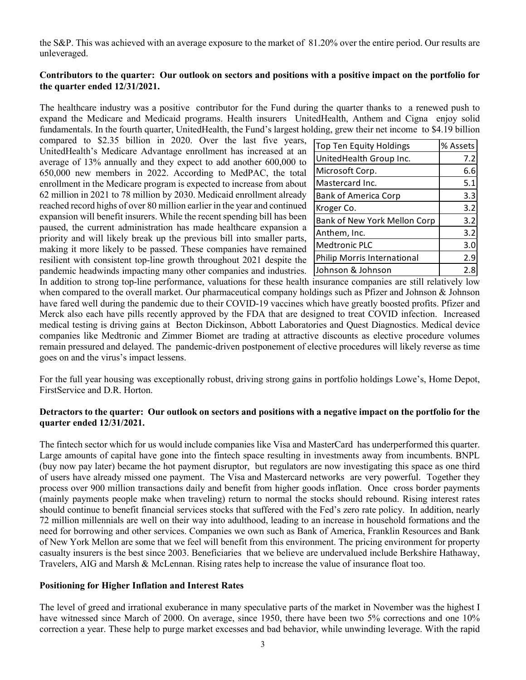the S&P. This was achieved with an average exposure to the market of 81.20% over the entire period. Our results are unleveraged.

## **Contributors to the quarter: Our outlook on sectors and positions with a positive impact on the portfolio for the quarter ended 12/31/2021.**

The healthcare industry was a positive contributor for the Fund during the quarter thanks to a renewed push to expand the Medicare and Medicaid programs. Health insurers UnitedHealth, Anthem and Cigna enjoy solid fundamentals. In the fourth quarter, UnitedHealth, the Fund's largest holding, grew their net income to \$4.19 billion

compared to \$2.35 billion in 2020. Over the last five years, UnitedHealth's Medicare Advantage enrollment has increased at an average of 13% annually and they expect to add another 600,000 to 650,000 new members in 2022. According to MedPAC, the total enrollment in the Medicare program is expected to increase from about 62 million in 2021 to 78 million by 2030. Medicaid enrollment already reached record highs of over 80 million earlier in the year and continued expansion will benefit insurers. While the recent spending bill has been paused, the current administration has made healthcare expansion a priority and will likely break up the previous bill into smaller parts, making it more likely to be passed. These companies have remained resilient with consistent top-line growth throughout 2021 despite the pandemic headwinds impacting many other companies and industries.

| Top Ten Equity Holdings      | % Assets |
|------------------------------|----------|
| UnitedHealth Group Inc.      | 7.2      |
| Microsoft Corp.              | 6.6      |
| Mastercard Inc.              | 5.1      |
| <b>Bank of America Corp</b>  | 3.3      |
| Kroger Co.                   | 3.2      |
| Bank of New York Mellon Corp | 3.2      |
| Anthem, Inc.                 | 3.2      |
| <b>Medtronic PLC</b>         | 3.0      |
| Philip Morris International  | 2.9      |
| Johnson & Johnson            | 2.8      |

In addition to strong top-line performance, valuations for these health insurance companies are still relatively low when compared to the overall market. Our pharmaceutical company holdings such as Pfizer and Johnson & Johnson have fared well during the pandemic due to their COVID-19 vaccines which have greatly boosted profits. Pfizer and Merck also each have pills recently approved by the FDA that are designed to treat COVID infection. Increased medical testing is driving gains at Becton Dickinson, Abbott Laboratories and Quest Diagnostics. Medical device companies like Medtronic and Zimmer Biomet are trading at attractive discounts as elective procedure volumes remain pressured and delayed. The pandemic-driven postponement of elective procedures will likely reverse as time goes on and the virus's impact lessens.

For the full year housing was exceptionally robust, driving strong gains in portfolio holdings Lowe's, Home Depot, FirstService and D.R. Horton.

### **Detractors to the quarter: Our outlook on sectors and positions with a negative impact on the portfolio for the quarter ended 12/31/2021.**

The fintech sector which for us would include companies like Visa and MasterCard has underperformed this quarter. Large amounts of capital have gone into the fintech space resulting in investments away from incumbents. BNPL (buy now pay later) became the hot payment disruptor, but regulators are now investigating this space as one third of users have already missed one payment. The Visa and Mastercard networks are very powerful. Together they process over 900 million transactions daily and benefit from higher goods inflation. Once cross border payments (mainly payments people make when traveling) return to normal the stocks should rebound. Rising interest rates should continue to benefit financial services stocks that suffered with the Fed's zero rate policy. In addition, nearly 72 million millennials are well on their way into adulthood, leading to an increase in household formations and the need for borrowing and other services. Companies we own such as Bank of America, Franklin Resources and Bank of New York Mellon are some that we feel will benefit from this environment. The pricing environment for property casualty insurers is the best since 2003. Beneficiaries that we believe are undervalued include Berkshire Hathaway, Travelers, AIG and Marsh & McLennan. Rising rates help to increase the value of insurance float too.

### **Positioning for Higher Inflation and Interest Rates**

The level of greed and irrational exuberance in many speculative parts of the market in November was the highest I have witnessed since March of 2000. On average, since 1950, there have been two 5% corrections and one 10% correction a year. These help to purge market excesses and bad behavior, while unwinding leverage. With the rapid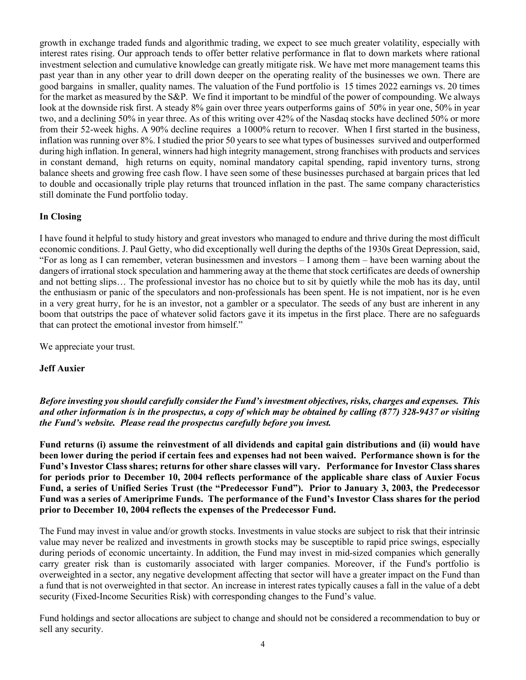growth in exchange traded funds and algorithmic trading, we expect to see much greater volatility, especially with interest rates rising. Our approach tends to offer better relative performance in flat to down markets where rational investment selection and cumulative knowledge can greatly mitigate risk. We have met more management teams this past year than in any other year to drill down deeper on the operating reality of the businesses we own. There are good bargains in smaller, quality names. The valuation of the Fund portfolio is 15 times 2022 earnings vs. 20 times for the market as measured by the S&P. We find it important to be mindful of the power of compounding. We always look at the downside risk first. A steady 8% gain over three years outperforms gains of 50% in year one, 50% in year two, and a declining 50% in year three. As of this writing over 42% of the Nasdaq stocks have declined 50% or more from their 52-week highs. A 90% decline requires a 1000% return to recover. When I first started in the business, inflation was running over 8%. I studied the prior 50 years to see what types of businesses survived and outperformed during high inflation. In general, winners had high integrity management, strong franchises with products and services in constant demand, high returns on equity, nominal mandatory capital spending, rapid inventory turns, strong balance sheets and growing free cash flow. I have seen some of these businesses purchased at bargain prices that led to double and occasionally triple play returns that trounced inflation in the past. The same company characteristics still dominate the Fund portfolio today.

## **In Closing**

I have found it helpful to study history and great investors who managed to endure and thrive during the most difficult economic conditions. J. Paul Getty, who did exceptionally well during the depths of the 1930s Great Depression, said, "For as long as I can remember, veteran businessmen and investors – I among them – have been warning about the dangers of irrational stock speculation and hammering away at the theme that stock certificates are deeds of ownership and not betting slips… The professional investor has no choice but to sit by quietly while the mob has its day, until the enthusiasm or panic of the speculators and non-professionals has been spent. He is not impatient, nor is he even in a very great hurry, for he is an investor, not a gambler or a speculator. The seeds of any bust are inherent in any boom that outstrips the pace of whatever solid factors gave it its impetus in the first place. There are no safeguards that can protect the emotional investor from himself."

We appreciate your trust.

### **Jeff Auxier**

*Before investing you should carefully consider the Fund's investment objectives, risks, charges and expenses. This and other information is in the prospectus, a copy of which may be obtained by calling (877) 328-9437 or visiting the Fund's website. Please read the prospectus carefully before you invest.*

**Fund returns (i) assume the reinvestment of all dividends and capital gain distributions and (ii) would have been lower during the period if certain fees and expenses had not been waived. Performance shown is for the Fund's Investor Class shares; returns for other share classes will vary. Performance for Investor Class shares for periods prior to December 10, 2004 reflects performance of the applicable share class of Auxier Focus Fund, a series of Unified Series Trust (the "Predecessor Fund"). Prior to January 3, 2003, the Predecessor Fund was a series of Ameriprime Funds. The performance of the Fund's Investor Class shares for the period prior to December 10, 2004 reflects the expenses of the Predecessor Fund.** 

The Fund may invest in value and/or growth stocks. Investments in value stocks are subject to risk that their intrinsic value may never be realized and investments in growth stocks may be susceptible to rapid price swings, especially during periods of economic uncertainty. In addition, the Fund may invest in mid-sized companies which generally carry greater risk than is customarily associated with larger companies. Moreover, if the Fund's portfolio is overweighted in a sector, any negative development affecting that sector will have a greater impact on the Fund than a fund that is not overweighted in that sector. An increase in interest rates typically causes a fall in the value of a debt security (Fixed-Income Securities Risk) with corresponding changes to the Fund's value.

Fund holdings and sector allocations are subject to change and should not be considered a recommendation to buy or sell any security.